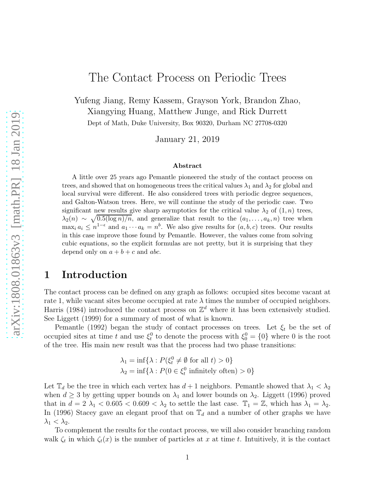# The Contact Process on Periodic Trees

Yufeng Jiang, Remy Kassem, Grayson York, Brandon Zhao, Xiangying Huang, Matthew Junge, and Rick Durrett Dept of Math, Duke University, Box 90320, Durham NC 27708-0320

January 21, 2019

#### Abstract

A little over 25 years ago Pemantle pioneered the study of the contact process on trees, and showed that on homogeneous trees the critical values  $\lambda_1$  and  $\lambda_2$  for global and local survival were different. He also considered trees with periodic degree sequences, and Galton-Watson trees. Here, we will continue the study of the periodic case. Two significant new results give sharp asymptotics for the critical value  $\lambda_2$  of  $(1, n)$  trees,  $\lambda_2(n) \sim \sqrt{0.5(\log n)/n}$ , and generalize that result to the  $(a_1, \ldots, a_k, n)$  tree when  $\max_i a_i \leq n^{1-\epsilon}$  and  $a_1 \cdots a_k = n^b$ . We also give results for  $(a, b, c)$  trees. Our results in this case improve those found by Pemantle. However, the values come from solving cubic equations, so the explicit formulas are not pretty, but it is surprising that they depend only on  $a + b + c$  and abc.

# 1 Introduction

The contact process can be defined on any graph as follows: occupied sites become vacant at rate 1, while vacant sites become occupied at rate  $\lambda$  times the number of occupied neighbors. Harris (1984) introduced the contact process on  $\mathbb{Z}^d$  where it has been extensively studied. See Liggett (1999) for a summary of most of what is known.

Pemantle (1992) began the study of contact processes on trees. Let  $\xi_t$  be the set of occupied sites at time t and use  $\xi_t^0$  to denote the process with  $\xi_0^0 = \{0\}$  where 0 is the root of the tree. His main new result was that the process had two phase transitions:

$$
\lambda_1 = \inf \{ \lambda : P(\xi_t^0 \neq \emptyset \text{ for all } t) > 0 \}
$$
  

$$
\lambda_2 = \inf \{ \lambda : P(0 \in \xi_t^0 \text{ infinitely often}) > 0 \}
$$

Let  $\mathbb{T}_d$  be the tree in which each vertex has  $d+1$  neighbors. Pemantle showed that  $\lambda_1 < \lambda_2$ when  $d \geq 3$  by getting upper bounds on  $\lambda_1$  and lower bounds on  $\lambda_2$ . Liggett (1996) proved that in  $d = 2 \lambda_1 < 0.605 < 0.609 < \lambda_2$  to settle the last case.  $\mathbb{T}_1 = \mathbb{Z}$ , which has  $\lambda_1 = \lambda_2$ . In (1996) Stacey gave an elegant proof that on  $\mathbb{T}_d$  and a number of other graphs we have  $\lambda_1 < \lambda_2$ .

To complement the results for the contact process, we will also consider branching random walk  $\zeta_t$  in which  $\zeta_t(x)$  is the number of particles at x at time t. Intuitively, it is the contact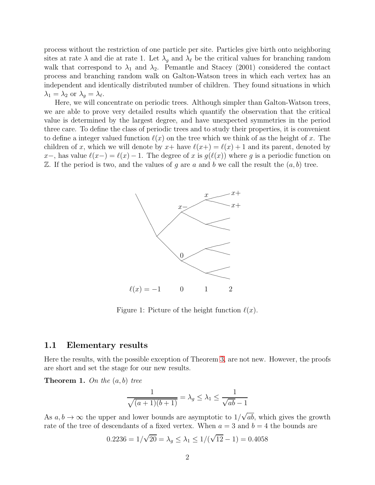process without the restriction of one particle per site. Particles give birth onto neighboring sites at rate  $\lambda$  and die at rate 1. Let  $\lambda_g$  and  $\lambda_\ell$  be the critical values for branching random walk that correspond to  $\lambda_1$  and  $\lambda_2$ . Pemantle and Stacey (2001) considered the contact process and branching random walk on Galton-Watson trees in which each vertex has an independent and identically distributed number of children. They found situations in which  $\lambda_1 = \lambda_2$  or  $\lambda_g = \lambda_{\ell}$ .

Here, we will concentrate on periodic trees. Although simpler than Galton-Watson trees, we are able to prove very detailed results which quantify the observation that the critical value is determined by the largest degree, and have unexpected symmetries in the period three care. To define the class of periodic trees and to study their properties, it is convenient to define a integer valued function  $\ell(x)$  on the tree which we think of as the height of x. The children of x, which we will denote by  $x+$  have  $\ell(x+)=\ell(x)+1$  and its parent, denoted by x−, has value  $\ell(x-) = \ell(x) - 1$ . The degree of x is  $g(\ell(x))$  where g is a periodic function on  $\mathbb Z$ . If the period is two, and the values of g are a and b we call the result the  $(a, b)$  tree.



Figure 1: Picture of the height function  $\ell(x)$ .

#### 1.1 Elementary results

Here the results, with the possible exception of Theorem [3,](#page-2-0) are not new. However, the proofs are short and set the stage for our new results.

<span id="page-1-0"></span>**Theorem 1.** On the  $(a, b)$  tree

$$
\frac{1}{\sqrt{(a+1)(b+1)}} = \lambda_g \le \lambda_1 \le \frac{1}{\sqrt{ab}-1}
$$

As  $a, b \to \infty$  the upper and lower bounds are asymptotic to  $1/\sqrt{ab}$ , which gives the growth rate of the tree of descendants of a fixed vertex. When  $a = 3$  and  $b = 4$  the bounds are

$$
0.2236 = 1/\sqrt{20} = \lambda_g \le \lambda_1 \le 1/(\sqrt{12} - 1) = 0.4058
$$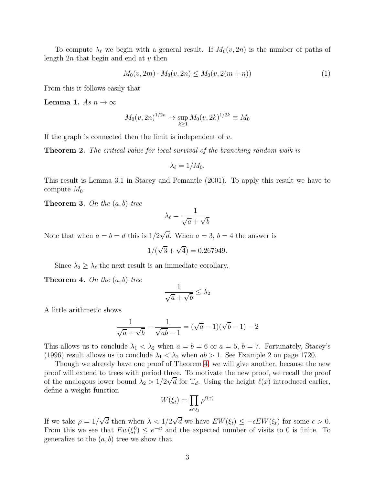To compute  $\lambda_{\ell}$  we begin with a general result. If  $M_0(v, 2n)$  is the number of paths of length  $2n$  that begin and end at v then

$$
M_0(v, 2m) \cdot M_0(v, 2n) \le M_0(v, 2(m+n)) \tag{1}
$$

From this it follows easily that

<span id="page-2-3"></span>Lemma 1. As  $n \to \infty$ 

$$
M_0(v, 2n)^{1/2n} \to \sup_{k \ge 1} M_0(v, 2k)^{1/2k} \equiv M_0
$$

If the graph is connected then the limit is independent of  $v$ .

<span id="page-2-2"></span>Theorem 2. The critical value for local survival of the branching random walk is

$$
\lambda_{\ell}=1/M_0.
$$

This result is Lemma 3.1 in Stacey and Pemantle (2001). To apply this result we have to compute  $M_0$ .

<span id="page-2-0"></span>**Theorem 3.** On the  $(a, b)$  tree

$$
\lambda_{\ell} = \frac{1}{\sqrt{a} + \sqrt{b}}
$$

Note that when  $a = b = d$  this is  $1/2\sqrt{d}$ . When  $a = 3$ ,  $b = 4$  the answer is

$$
1/(\sqrt{3} + \sqrt{4}) = 0.267949.
$$

Since  $\lambda_2 \geq \lambda_\ell$  the next result is an immediate corollary.

<span id="page-2-1"></span>**Theorem 4.** On the  $(a, b)$  tree

$$
\frac{1}{\sqrt{a} + \sqrt{b}} \leq \lambda_2
$$

A little arithmetic shows

$$
\frac{1}{\sqrt{a} + \sqrt{b}} - \frac{1}{\sqrt{ab} - 1} = (\sqrt{a} - 1)(\sqrt{b} - 1) - 2
$$

This allows us to conclude  $\lambda_1 < \lambda_2$  when  $a = b = 6$  or  $a = 5$ ,  $b = 7$ . Fortunately, Stacey's (1996) result allows us to conclude  $\lambda_1 < \lambda_2$  when  $ab > 1$ . See Example 2 on page 1720.

Though we already have one proof of Theorem [4,](#page-2-1) we will give another, because the new proof will extend to trees with period three. To motivate the new proof, we recall the proof of the analogous lower bound  $\lambda_2 > 1/2\sqrt{d}$  for  $\mathbb{T}_d$ . Using the height  $\ell(x)$  introduced earlier, define a weight function

$$
W(\xi_t) = \prod_{x \in \xi_t} \rho^{\ell(x)}
$$

If we take  $\rho = 1/\sqrt{d}$  then when  $\lambda < 1/2\sqrt{d}$  we have  $EW(\xi_t) \le -\epsilon EW(\xi_t)$  for some  $\epsilon > 0$ . From this we see that  $Ew(\xi_t^0) \leq e^{-\epsilon t}$  and the expected number of visits to 0 is finite. To generalize to the  $(a, b)$  tree we show that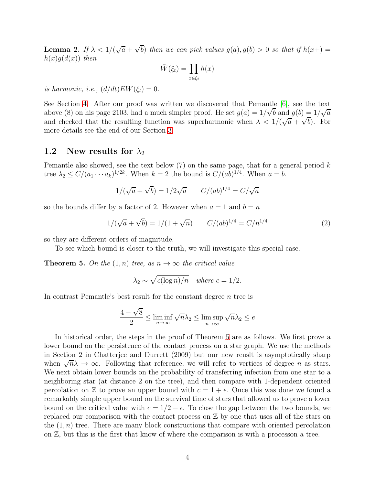<span id="page-3-1"></span>**Lemma 2.** If  $\lambda < 1/(\sqrt{a} + \sqrt{b})$  then we can pick values  $g(a), g(b) > 0$  so that if  $h(x+) =$  $h(x)q(d(x))$  then

$$
\bar{W}(\xi_t) = \prod_{x \in \xi_t} h(x)
$$

is harmonic, i.e.,  $(d/dt)EW(\xi_t)=0$ .

See Section [4.](#page-9-0) After our proof was written we discovered that Pemantle [\[6\]](#page-26-0), see the text above (8) on his page 2103, had a much simpler proof. He set  $g(a) = 1/\sqrt{b}$  and  $g(b) = 1/\sqrt{a}$ and checked that the resulting function was superharmonic when  $\lambda < 1/(\sqrt{a} + \sqrt{b})$ . For more details see the end of our Section [3.](#page-7-0)

### 1.2 New results for  $\lambda_2$

Pemantle also showed, see the text below  $(7)$  on the same page, that for a general period k tree  $\lambda_2 \le C/(a_1 \cdots a_k)^{1/2k}$ . When  $k = 2$  the bound is  $C/(ab)^{1/4}$ . When  $a = b$ .

$$
1/(\sqrt{a} + \sqrt{b}) = 1/2\sqrt{a} \qquad C/(ab)^{1/4} = C/\sqrt{a}
$$

so the bounds differ by a factor of 2. However when  $a = 1$  and  $b = n$ 

$$
1/(\sqrt{a} + \sqrt{b}) = 1/(1 + \sqrt{n}) \qquad C/(ab)^{1/4} = C/n^{1/4} \tag{2}
$$

so they are different orders of magnitude.

To see which bound is closer to the truth, we will investigate this special case.

<span id="page-3-0"></span>**Theorem 5.** On the  $(1, n)$  tree, as  $n \to \infty$  the critical value

$$
\lambda_2 \sim \sqrt{c(\log n)/n} \quad \text{where } c = 1/2.
$$

In contrast Pemantle's best result for the constant degree *n* tree is

$$
\frac{4-\sqrt{8}}{2} \le \liminf_{n \to \infty} \sqrt{n} \lambda_2 \le \limsup_{n \to \infty} \sqrt{n} \lambda_2 \le e
$$

In historical order, the steps in the proof of Theorem [5](#page-3-0) are as follows. We first prove a lower bound on the persistence of the contact process on a star graph. We use the methods in Section 2 in Chatterjee and Durrett (2009) but our new reuslt is asymptotically sharp when  $\sqrt{n}\lambda \to \infty$ . Following that reference, we will refer to vertices of degree *n* as stars. We next obtain lower bounds on the probability of transferring infection from one star to a neighboring star (at distance 2 on the tree), and then compare with 1-dependent oriented percolation on Z to prove an upper bound with  $c = 1 + \epsilon$ . Once this was done we found a remarkably simple upper bound on the survival time of stars that allowed us to prove a lower bound on the critical value with  $c = 1/2 - \epsilon$ . To close the gap between the two bounds, we replaced our comparison with the contact process on  $\mathbb Z$  by one that uses all of the stars on the  $(1, n)$  tree. There are many block constructions that compare with oriented percolation on  $\mathbb{Z}$ , but this is the first that know of where the comparison is with a processon a tree.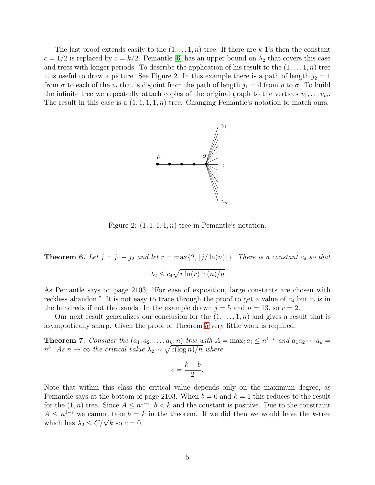The last proof extends easily to the  $(1, \ldots, 1, n)$  tree. If there are k 1's then the constant  $c = 1/2$  is replaced by  $c = k/2$ . Pemantle [\[6\]](#page-26-0) has an upper bound on  $\lambda_2$  that covers this case and trees with longer periods. To describe the application of his result to the  $(1, \ldots, 1, n)$  tree it is useful to draw a picture. See Figure 2. In this example there is a path of length  $j_2 = 1$ from  $\sigma$  to each of the  $v_i$  that is disjoint from the path of length  $j_1 = 4$  from  $\rho$  to  $\sigma$ . To build the infinite tree we repeatedly attach copies of the original graph to the vertices  $v_1, \ldots v_m$ . The result in this case is a  $(1, 1, 1, 1, n)$  tree. Changing Pemantle's notation to match ours.



Figure 2:  $(1, 1, 1, 1, n)$  tree in Pemantle's notation.

**Theorem 6.** Let  $j = j_1 + j_2$  and let  $r = \max\{2, \lceil j/\ln(n) \rceil\}$ . There is a constant  $c_4$  so that

$$
\lambda_2 \le c_4 \sqrt{r \ln(r) \ln(n) / n}
$$

As Pemantle says on page 2103, "For ease of exposition, large constants are chosen with reckless abandon." It is not easy to trace through the proof to get a value of  $c_4$  but it is in the hundreds if not thousands. In the example drawn  $j = 5$  and  $n = 13$ , so  $r = 2$ .

Our next result generalizes our conclusion for the  $(1, \ldots, 1, n)$  and gives a result that is asymptotically sharp. Given the proof of Theorem [5](#page-3-0) very little work is required.

<span id="page-4-0"></span>**Theorem 7.** Consider the  $(a_1, a_2, \ldots, a_k, n)$  tree with  $A = \max_i a_i \leq n^{1-\epsilon}$  and  $a_1 a_2 \cdots a_k =$  $n^b$ . As  $n \to \infty$  the critical value  $\lambda_2 \sim \sqrt{c(\log n)/n}$  where

$$
c = \frac{k - b}{2}.
$$

Note that within this class the critical value depends only on the maximum degree, as Pemantle says at the bottom of page 2103. When  $b = 0$  and  $k = 1$  this reduces to the result for the  $(1, n)$  tree. Since  $A \leq n^{1-\epsilon}$ ,  $b < k$  and the constant is positive. Due to the constraint  $A \leq n^{1-\epsilon}$  we cannot take  $b = k$  in the theorem. If we did then we would have the k-tree which has  $\lambda_2 \leq C/\sqrt{k}$  so  $c = 0$ .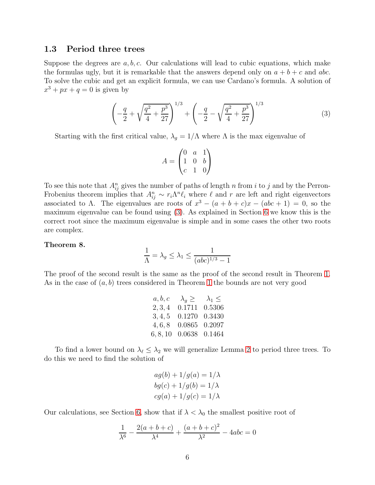#### 1.3 Period three trees

Suppose the degrees are  $a, b, c$ . Our calculations will lead to cubic equations, which make the formulas ugly, but it is remarkable that the answers depend only on  $a + b + c$  and abc. To solve the cubic and get an explicit formula, we can use Cardano's formula. A solution of  $x^3 + px + q = 0$  is given by

<span id="page-5-0"></span>
$$
\left(-\frac{q}{2} + \sqrt{\frac{q^2}{4} + \frac{p^3}{27}}\right)^{1/3} + \left(-\frac{q}{2} - \sqrt{\frac{q^2}{4} + \frac{p^3}{27}}\right)^{1/3} \tag{3}
$$

Starting with the first critical value,  $\lambda_g = 1/\Lambda$  where  $\Lambda$  is the max eigenvalue of

$$
A = \begin{pmatrix} 0 & a & 1 \\ 1 & 0 & b \\ c & 1 & 0 \end{pmatrix}
$$

To see this note that  $A_{ij}^n$  gives the number of paths of length n from i to j and by the Perron-Frobenius theorem implies that  $A_{ij}^n \sim r_i \Lambda^n \ell_i$  where  $\ell$  and r are left and right eigenvectors associated to  $\Lambda$ . The eigenvalues are roots of  $x^3 - (a + b + c)x - (abc + 1) = 0$ , so the maximum eigenvalue can be found using [\(3\)](#page-5-0). As explained in Section [6](#page-21-0) we know this is the correct root since the maximum eigenvalue is simple and in some cases the other two roots are complex.

#### Theorem 8.

$$
\frac{1}{\Lambda} = \lambda_g \le \lambda_1 \le \frac{1}{(abc)^{1/3} - 1}
$$

The proof of the second result is the same as the proof of the second result in Theorem [1.](#page-1-0) As in the case of  $(a, b)$  trees considered in Theorem [1](#page-1-0) the bounds are not very good

| a, b, c  | $\lambda_a \geq$ | $\lambda_1 \leq$ |
|----------|------------------|------------------|
| 2, 3, 4  | 0.1711           | 0.5306           |
| 3, 4, 5  | 0.1270           | 0.3430           |
| 4, 6, 8  | 0.0865           | 0.2097           |
| 6, 8, 10 | 0.0638 0.1464    |                  |

To find a lower bound on  $\lambda_{\ell} \leq \lambda_2$  we will generalize Lemma [2](#page-3-1) to period three trees. To do this we need to find the solution of

$$
ag(b) + 1/g(a) = 1/\lambda
$$
  
\n
$$
bg(c) + 1/g(b) = 1/\lambda
$$
  
\n
$$
cg(a) + 1/g(c) = 1/\lambda
$$

Our calculations, see Section [6,](#page-21-0) show that if  $\lambda < \lambda_0$  the smallest positive root of

$$
\frac{1}{\lambda^6} - \frac{2(a+b+c)}{\lambda^4} + \frac{(a+b+c)^2}{\lambda^2} - 4abc = 0
$$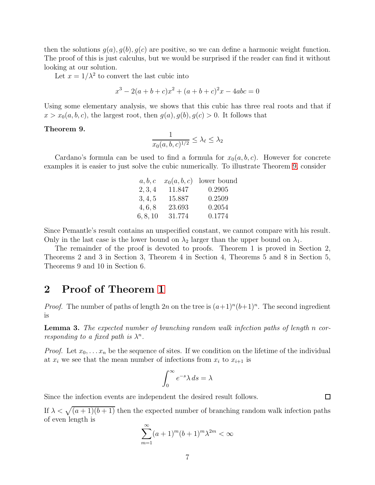then the solutions  $g(a), g(b), g(c)$  are positive, so we can define a harmonic weight function. The proof of this is just calculus, but we would be surprised if the reader can find it without looking at our solution.

Let  $x = 1/\lambda^2$  to convert the last cubic into

$$
x^3 - 2(a+b+c)x^2 + (a+b+c)^2x - 4abc = 0
$$

Using some elementary analysis, we shows that this cubic has three real roots and that if  $x > x_0(a, b, c)$ , the largest root, then  $g(a), g(b), g(c) > 0$ . It follows that

### <span id="page-6-0"></span>Theorem 9.

$$
\frac{1}{x_0(a,b,c)^{1/2}} \le \lambda_{\ell} \le \lambda_2
$$

Cardano's formula can be used to find a formula for  $x_0(a, b, c)$ . However for concrete examples it is easier to just solve the cubic numerically. To illustrate Theorem [9,](#page-6-0) consider

| a, b, c  |        | $x_0(a, b, c)$ lower bound |
|----------|--------|----------------------------|
| 2, 3, 4  | 11.847 | 0.2905                     |
| 3, 4, 5  | 15.887 | 0.2509                     |
| 4, 6, 8  | 23.693 | 0.2054                     |
| 6, 8, 10 | 31.774 | 0.1774                     |

Since Pemantle's result contains an unspecified constant, we cannot compare with his result. Only in the last case is the lower bound on  $\lambda_2$  larger than the upper bound on  $\lambda_1$ .

The remainder of the proof is devoted to proofs. Theorem 1 is proved in Section 2, Theorems 2 and 3 in Section 3, Theorem 4 in Section 4, Theorems 5 and 8 in Section 5, Theorems 9 and 10 in Section 6.

# 2 Proof of Theorem [1](#page-1-0)

*Proof.* The number of paths of length  $2n$  on the tree is  $(a+1)^n(b+1)^n$ . The second ingredient is

<span id="page-6-1"></span>Lemma 3. The expected number of branching random walk infection paths of length n corresponding to a fixed path is  $\lambda^n$ .

*Proof.* Let  $x_0, \ldots, x_n$  be the sequence of sites. If we condition on the lifetime of the individual at  $x_i$  we see that the mean number of infections from  $x_i$  to  $x_{i+1}$  is

$$
\int_0^\infty e^{-s} \lambda \, ds = \lambda
$$

Since the infection events are independent the desired result follows.

If  $\lambda < \sqrt{(a+1)(b+1)}$  then the expected number of branching random walk infection paths of even length is

$$
\sum_{m=1}^{\infty} (a+1)^m (b+1)^m \lambda^{2m} < \infty
$$

 $\Box$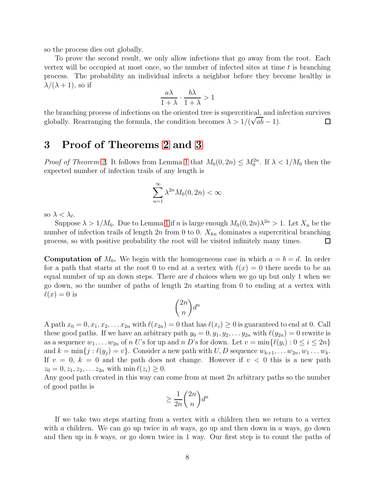so the process dies out globally.

To prove the second result, we only allow infections that go away from the root. Each vertex will be occupied at most once, so the number of infected sites at time  $t$  is branching process. The probability an individual infects a neighbor before they become healthy is  $\lambda/(\lambda + 1)$ , so if

$$
\frac{a\lambda}{1+\lambda} \cdot \frac{b\lambda}{1+\lambda} > 1
$$

the branching process of infections on the oriented tree is supercritical, and infection survives globally. Rearranging the formula, the condition becomes  $\lambda > 1/(\sqrt{ab} - 1)$ . □

## <span id="page-7-0"></span>3 Proof of Theorems [2](#page-2-2) and [3](#page-2-0)

*Proof of Theorem [2.](#page-2-2)* It follows from Lemma [1](#page-2-3) that  $M_0(0, 2n) \leq M_0^{2n}$ . If  $\lambda < 1/M_0$  then the expected number of infection trails of any length is

$$
\sum_{n=1}^{\infty} \lambda^{2n} M_0(0, 2n) < \infty
$$

so  $\lambda < \lambda_{\ell}$ .

Suppose  $\lambda > 1/M_0$  $\lambda > 1/M_0$  $\lambda > 1/M_0$ . Due to Lemma 1 if *n* is large enough  $M_0(0, 2n)\lambda^{2n} > 1$ . Let  $X_n$  be the number of infection trails of length  $2n$  from 0 to 0.  $X_{kn}$  dominates a supercritical branching process, so with positive probability the root will be visited infinitely many times.  $\Box$ 

**Computation of**  $M_0$ . We begin with the homogeneous case in which  $a = b = d$ . In order for a path that starts at the root 0 to end at a vertex with  $\ell(x) = 0$  there needs to be an equal number of up an down steps. There are  $d$  choices when we go up but only 1 when we go down, so the number of paths of length 2n starting from 0 to ending at a vertex with  $\ell(x) = 0$  is

$$
\binom{2n}{n}d^n
$$

A path  $x_0 = 0, x_1, x_2, \ldots x_{2n}$  with  $\ell(x_{2n}) = 0$  that has  $\ell(x_i) \geq 0$  is guaranteed to end at 0. Call these good paths. If we have an arbitrary path  $y_0 = 0, y_1, y_2, \ldots y_{2n}$  with  $\ell(y_{2n}) = 0$  rewrite is as a sequence  $w_1, \ldots w_{2n}$  of n U's for up and n D's for down. Let  $v = \min\{\ell(y_i) : 0 \le i \le 2n\}$ and  $k = \min\{j : \ell(y_j) = v\}$ . Consider a new path with  $U, D$  sequence  $w_{k+1}, \ldots w_{2n}, w_1 \ldots w_k$ . If  $v = 0$ ,  $k = 0$  and the path does not change. However if  $v < 0$  this is a new path  $z_0 = 0, z_1, z_2, \ldots z_{2n}$  with  $\min \ell(z_i) \geq 0$ .

Any good path created in this way can come from at most  $2n$  arbitrary paths so the number of good paths is

$$
\geq \frac{1}{2n} \binom{2n}{n} d^n
$$

If we take two steps starting from a vertex with a children then we return to a vertex with a children. We can go up twice in ab ways, go up and then down in a ways, go down and then up in b ways, or go down twice in 1 way. Our first step is to count the paths of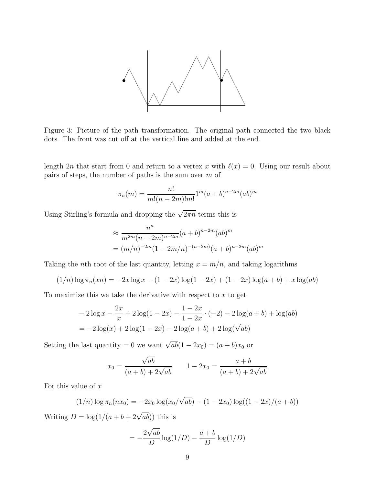

Figure 3: Picture of the path transformation. The original path connected the two black dots. The front was cut off at the vertical line and added at the end.

length 2n that start from 0 and return to a vertex x with  $\ell(x) = 0$ . Using our result about pairs of steps, the number of paths is the sum over m of

$$
\pi_n(m) = \frac{n!}{m!(n-2m)!m!} 1^m (a+b)^{n-2m} (ab)^m
$$

Using Stirling's formula and dropping the  $\sqrt{2\pi n}$  terms this is

$$
\approx \frac{n^n}{m^{2m}(n-2m)^{n-2m}}(a+b)^{n-2m}(ab)^m
$$
  
=  $(m/n)^{-2m}(1-2m/n)^{-(n-2m)}(a+b)^{n-2m}(ab)^m$ 

Taking the nth root of the last quantity, letting  $x = m/n$ , and taking logarithms

$$
(1/n)\log \pi_n(xn) = -2x\log x - (1-2x)\log(1-2x) + (1-2x)\log(a+b) + x\log(ab)
$$

To maximize this we take the derivative with respect to  $x$  to get

$$
-2\log x - \frac{2x}{x} + 2\log(1 - 2x) - \frac{1 - 2x}{1 - 2x} \cdot (-2) - 2\log(a + b) + \log(ab)
$$
  
= -2\log(x) + 2\log(1 - 2x) - 2\log(a + b) + 2\log(\sqrt{ab})

Setting the last quantity = 0 we want  $\sqrt{ab}(1-2x_0) = (a+b)x_0$  or

$$
x_0 = \frac{\sqrt{ab}}{(a+b) + 2\sqrt{ab}} \qquad 1 - 2x_0 = \frac{a+b}{(a+b) + 2\sqrt{ab}}
$$

For this value of  $x$ 

$$
(1/n)\log \pi_n(nx_0) = -2x_0\log(x_0/\sqrt{ab}) - (1-2x_0)\log((1-2x)/(a+b))
$$

Writing  $D = \log(1/(a + b + 2\sqrt{ab}))$  this is

$$
= -\frac{2\sqrt{ab}}{D}\log(1/D) - \frac{a+b}{D}\log(1/D)
$$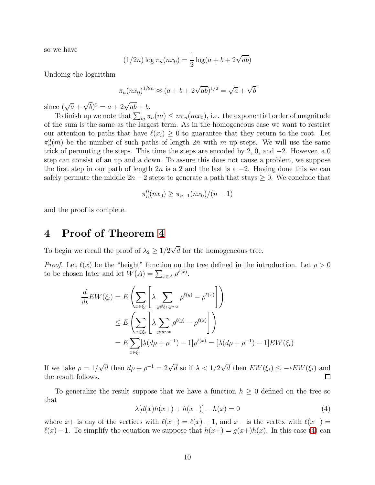so we have

$$
(1/2n) \log \pi_n(nx_0) = \frac{1}{2} \log(a + b + 2\sqrt{ab})
$$

Undoing the logarithm

$$
\pi_n(nx_0)^{1/2n} \approx (a+b+2\sqrt{ab})^{1/2} = \sqrt{a} + \sqrt{b}
$$

since  $(\sqrt{a} + \sqrt{b})^2 = a + 2\sqrt{ab} + b$ .

To finish up we note that  $\sum_m \pi_n(m) \leq n \pi_n(mx_0)$ , i.e. the exponential order of magnitude of the sum is the same as the largest term. As in the homogeneous case we want to restrict our attention to paths that have  $\ell(x_i) \geq 0$  to guarantee that they return to the root. Let  $\pi_n^0(m)$  be the number of such paths of length 2n with m up steps. We will use the same trick of permuting the steps. This time the steps are encoded by 2, 0, and  $-2$ . However, a 0 step can consist of an up and a down. To assure this does not cause a problem, we suppose the first step in our path of length  $2n$  is a 2 and the last is a  $-2$ . Having done this we can safely permute the middle  $2n - 2$  steps to generate a path that stays  $\geq 0$ . We conclude that

$$
\pi_n^0(nx_0) \ge \pi_{n-1}(nx_0)/(n-1)
$$

<span id="page-9-0"></span>and the proof is complete.

## 4 Proof of Theorem [4](#page-2-1)

To begin we recall the proof of  $\lambda_2 \geq 1/2\sqrt{d}$  for the homogeneous tree.

*Proof.* Let  $\ell(x)$  be the "height" function on the tree defined in the introduction. Let  $\rho > 0$ to be chosen later and let  $W(A) = \sum_{x \in A} \rho^{\ell(x)}$ .

$$
\frac{d}{dt} EW(\xi_t) = E\left(\sum_{x \in \xi_t} \left[\lambda \sum_{y \notin \xi_t : y \sim x} \rho^{\ell(y)} - \rho^{\ell(x)}\right]\right)
$$
\n
$$
\leq E\left(\sum_{x \in \xi_t} \left[\lambda \sum_{y : y \sim x} \rho^{\ell(y)} - \rho^{\ell(x)}\right]\right)
$$
\n
$$
= E\sum_{x \in \xi_t} [\lambda(d\rho + \rho^{-1}) - 1] \rho^{\ell(x)} = [\lambda(d\rho + \rho^{-1}) - 1] EW(\xi_t)
$$

If we take  $\rho = 1/\sqrt{d}$  then  $d\rho + \rho^{-1} = 2\sqrt{d}$  so if  $\lambda < 1/2\sqrt{d}$  then  $EW(\xi_t) \le -\epsilon EW(\xi_t)$  and the result follows.

To generalize the result suppose that we have a function  $h \geq 0$  defined on the tree so that

<span id="page-9-1"></span>
$$
\lambda [d(x)h(x+) + h(x-) ] - h(x) = 0 \tag{4}
$$

where x+ is any of the vertices with  $\ell(x+) = \ell(x) + 1$ , and x- is the vertex with  $\ell(x-)$  $\ell(x) - 1$ . To simplify the equation we suppose that  $h(x+) = g(x+)h(x)$ . In this case [\(4\)](#page-9-1) can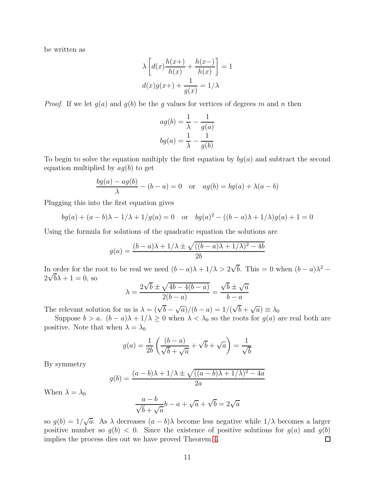be written as

$$
\lambda \left[ d(x) \frac{h(x+)}{h(x)} + \frac{h(x-)}{h(x)} \right] = 1
$$

$$
d(x)g(x+) + \frac{1}{g(x)} = 1/\lambda
$$

*Proof.* If we let  $g(a)$  and  $g(b)$  be the g values for vertices of degrees m and n then

$$
ag(b) = \frac{1}{\lambda} - \frac{1}{g(a)}
$$

$$
bg(a) = \frac{1}{\lambda} - \frac{1}{g(b)}
$$

To begin to solve the equation multiply the first equation by  $b^g(a)$  and subtract the second equation multiplied by  $ag(b)$  to get

$$
\frac{bg(a) - ag(b)}{\lambda} - (b - a) = 0 \quad \text{or} \quad ag(b) = bg(a) + \lambda(a - b)
$$

Plugging this into the first equation gives

$$
bg(a) + (a - b)\lambda - 1/\lambda + 1/g(a) = 0
$$
 or  $bg(a)^{2} - ((b - a)\lambda + 1/\lambda)g(a) + 1 = 0$ 

Using the formula for solutions of the quadratic equation the solutions are

$$
g(a) = \frac{(b-a)\lambda + 1/\lambda \pm \sqrt{((b-a)\lambda + 1/\lambda)^2 - 4b}}{2b}
$$

In order for the root to be real we need  $(b-a)\lambda + 1/\lambda > 2\sqrt{b}$ . This = 0 when  $(b-a)\lambda^2$  –  $2\sqrt{b}\lambda + 1 = 0$ , so

$$
\lambda = \frac{2\sqrt{b} \pm \sqrt{4b - 4(b - a)}}{2(b - a)} = \frac{\sqrt{b} \pm \sqrt{a}}{b - a}
$$

The relevant solution for us is  $\lambda = (\sqrt{b} - \sqrt{a})/(b - a) = 1/(\sqrt{b} + \sqrt{a}) \equiv \lambda_0$ 

Suppose  $b > a$ .  $(b - a)\lambda + 1/\lambda \ge 0$  when  $\lambda < \lambda_0$  so the roots for  $g(a)$  are real both are positive. Note that when  $\lambda = \lambda_0$ 

$$
g(a) = \frac{1}{2b} \left( \frac{(b-a)}{\sqrt{b} + \sqrt{a}} + \sqrt{b} + \sqrt{a} \right) = \frac{1}{\sqrt{b}}
$$

By symmetry

$$
g(b) = \frac{(a-b)\lambda + 1/\lambda \pm \sqrt{((a-b)\lambda + 1/\lambda)^2 - 4a}}{2a}
$$

When  $\lambda = \lambda_0$ 

$$
\frac{a-b}{\sqrt{b} + \sqrt{a}}b - a + \sqrt{a} + \sqrt{b} = 2\sqrt{a}
$$

so  $g(b) = 1/\sqrt{a}$ . As  $\lambda$  decreases  $(a - b)\lambda$  become less negative while  $1/\lambda$  becomes a larger positive number so  $g(b) < 0$ . Since the existence of positive solutions for  $g(a)$  and  $g(b)$ implies the process dies out we have proved Theorem [4.](#page-2-1)  $\Box$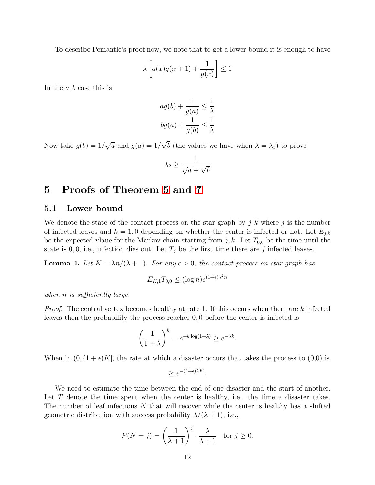To describe Pemantle's proof now, we note that to get a lower bound it is enough to have

$$
\lambda \left[ d(x)g(x+1) + \frac{1}{g(x)} \right] \le 1
$$

In the  $a, b$  case this is

$$
ag(b) + \frac{1}{g(a)} \le \frac{1}{\lambda}
$$

$$
bg(a) + \frac{1}{g(b)} \le \frac{1}{\lambda}
$$

Now take  $g(b) = 1/\sqrt{a}$  and  $g(a) = 1/\sqrt{b}$  (the values we have when  $\lambda = \lambda_0$ ) to prove

$$
\lambda_2 \geq \frac{1}{\sqrt{a} + \sqrt{b}}
$$

# 5 Proofs of Theorem [5](#page-3-0) and [7](#page-4-0)

### 5.1 Lower bound

We denote the state of the contact process on the star graph by  $j, k$  where j is the number of infected leaves and  $k = 1, 0$  depending on whether the center is infected or not. Let  $E_{j,k}$ be the expected vlaue for the Markov chain starting from  $j, k$ . Let  $T_{0,0}$  be the time until the state is 0, 0, i.e., infection dies out. Let  $T_j$  be the first time there are j infected leaves.

<span id="page-11-0"></span>**Lemma 4.** Let  $K = \lambda n/(\lambda + 1)$ . For any  $\epsilon > 0$ , the contact process on star graph has

$$
E_{K,1}T_{0,0} \le (\log n)e^{(1+\epsilon)\lambda^2 n}
$$

when *n* is sufficiently large.

*Proof.* The central vertex becomes healthy at rate 1. If this occurs when there are  $k$  infected leaves then the probability the process reaches 0, 0 before the center is infected is

$$
\left(\frac{1}{1+\lambda}\right)^k = e^{-k\log(1+\lambda)} \ge e^{-\lambda k}.
$$

When in  $(0,(1+\epsilon)K]$ , the rate at which a disaster occurs that takes the process to  $(0,0)$  is

$$
\geq e^{-(1+\epsilon)\lambda K}.
$$

We need to estimate the time between the end of one disaster and the start of another. Let T denote the time spent when the center is healthy, i.e. the time a disaster takes. The number of leaf infections  $N$  that will recover while the center is healthy has a shifted geometric distribution with success probability  $\lambda/(\lambda + 1)$ , i.e.,

$$
P(N = j) = \left(\frac{1}{\lambda + 1}\right)^j \cdot \frac{\lambda}{\lambda + 1} \quad \text{for } j \ge 0.
$$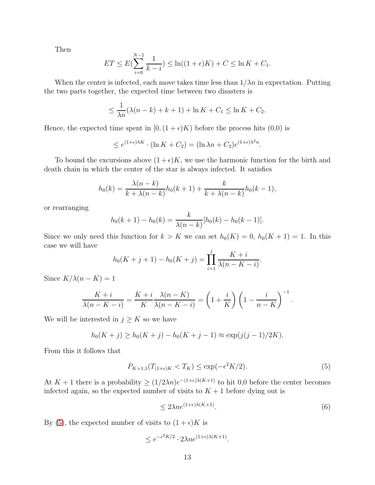Then

$$
ET \le E\left(\sum_{i=0}^{N-1} \frac{1}{k-i}\right) \le \ln((1+\epsilon)K) + C \le \ln K + C_1.
$$

When the center is infected, each move takes time less than  $1/\lambda n$  in expectation. Putting the two parts together, the expected time between two disasters is

$$
\leq \frac{1}{\lambda n} (\lambda (n - k) + k + 1) + \ln K + C_1 \leq \ln K + C_2.
$$

Hence, the expected time spent in  $[0,(1+\epsilon)K)$  before the process hits  $(0,0)$  is

$$
\leq e^{(1+\epsilon)\lambda K} \cdot (\ln K + C_2) = (\ln \lambda n + C_2) e^{(1+\epsilon)\lambda^2 n}.
$$

To bound the excursions above  $(1+\epsilon)K$ , we use the harmonic function for the birth and death chain in which the center of the star is always infected. It satisfies

$$
h_0(k) = \frac{\lambda(n-k)}{k + \lambda(n-k)} h_0(k+1) + \frac{k}{k + \lambda(n-k)} h_0(k-1),
$$

or rearranging

$$
h_0(k+1) - h_0(k) = \frac{k}{\lambda(n-k)}[h_0(k) - h_0(k-1)].
$$

Since we only need this function for  $k > K$  we can set  $h_0(K) = 0$ ,  $h_0(K + 1) = 1$ . In this case we will have

$$
h_0(K+j+1) - h_0(K+j) = \prod_{i=1}^{j} \frac{K+i}{\lambda(n-K-i)}.
$$

Since  $K/\lambda(n-K) = 1$ 

$$
\frac{K+i}{\lambda(n-K-i)} = \frac{K+i}{K} \frac{\lambda(n-K)}{\lambda(n-K-i)} = \left(1 + \frac{i}{K}\right) \left(1 - \frac{i}{n-K}\right)^{-1}.
$$

We will be interested in  $j \geq K$  so we have

$$
h_0(K+j) \ge h_0(K+j) - h_0(K+j-1) \approx \exp(j(j-1)/2K).
$$

From this it follows that

<span id="page-12-0"></span>
$$
P_{K+1,1}(T_{(1+\epsilon)K} < T_K) \le \exp(-\epsilon^2 K/2). \tag{5}
$$

At  $K + 1$  there is a probability  $\geq (1/2\lambda n)e^{-(1+\epsilon)\lambda(K+1)}$  to hit 0,0 before the center becomes infected again, so the expected number of visits to  $K + 1$  before dying out is

$$
\leq 2\lambda n e^{(1+\epsilon)\lambda(K+1)}.\tag{6}
$$

By [\(5\)](#page-12-0), the expected number of visits to  $(1 + \epsilon)K$  is

$$
\leq e^{-\epsilon^2 K/2} \cdot 2\lambda n e^{(1+\epsilon)\lambda(K+1)}.
$$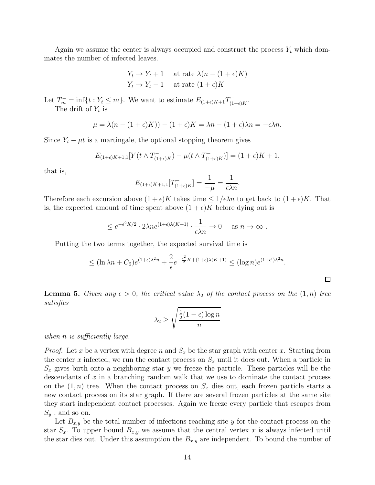Again we assume the center is always occupied and construct the process  $Y_t$  which dominates the number of infected leaves.

$$
Y_t \to Y_t + 1 \quad \text{at rate } \lambda (n - (1 + \epsilon)K)
$$
  

$$
Y_t \to Y_t - 1 \quad \text{at rate } (1 + \epsilon)K
$$

Let  $T_m^- = \inf\{t : Y_t \leq m\}$ . We want to estimate  $E_{(1+\epsilon)K+1}T_{(1+\epsilon)K}^-$ . The drift of  $Y_t$  is

$$
\mu = \lambda(n - (1 + \epsilon)K)) - (1 + \epsilon)K = \lambda n - (1 + \epsilon)\lambda n = -\epsilon \lambda n.
$$

Since  $Y_t - \mu t$  is a martingale, the optional stopping theorem gives

$$
E_{(1+\epsilon)K+1,1}[Y(t\wedge T^-_{(1+\epsilon)K})-\mu(t\wedge T^-_{(1+\epsilon)K})]=(1+\epsilon)K+1,
$$

that is,

$$
E_{(1+\epsilon)K+1,1}[T_{(1+\epsilon)K}^-] = \frac{1}{-\mu} = \frac{1}{\epsilon \lambda n}.
$$

Therefore each excursion above  $(1+\epsilon)K$  takes time  $\leq 1/\epsilon\lambda n$  to get back to  $(1+\epsilon)K$ . That is, the expected amount of time spent above  $(1 + \epsilon)K$  before dying out is

$$
\leq e^{-\epsilon^2 K/2} \cdot 2\lambda n e^{(1+\epsilon)\lambda(K+1)} \cdot \frac{1}{\epsilon \lambda n} \to 0 \quad \text{as } n \to \infty.
$$

Putting the two terms together, the expected survival time is

$$
\leq (\ln \lambda n + C_2) e^{(1+\epsilon)\lambda^2 n} + \frac{2}{\epsilon} e^{-\frac{\epsilon^2}{2}K + (1+\epsilon)\lambda(K+1)} \leq (\log n) e^{(1+\epsilon')\lambda^2 n}.
$$

□

<span id="page-13-0"></span>**Lemma 5.** Given any  $\epsilon > 0$ , the critical value  $\lambda_2$  of the contact process on the  $(1, n)$  tree satisfies

$$
\lambda_2 \ge \sqrt{\frac{\frac{1}{2}(1-\epsilon)\log n}{n}}
$$

when *n* is sufficiently large.

*Proof.* Let x be a vertex with degree n and  $S_x$  be the star graph with center x. Starting from the center x infected, we run the contact process on  $S_x$  until it does out. When a particle in  $S_x$  gives birth onto a neighboring star y we freeze the particle. These particles will be the descendants of  $x$  in a branching random walk that we use to dominate the contact process on the  $(1, n)$  tree. When the contact process on  $S_x$  dies out, each frozen particle starts a new contact process on its star graph. If there are several frozen particles at the same site they start independent contact processes. Again we freeze every particle that escapes from  $S_y$ , and so on.

Let  $B_{x,y}$  be the total number of infections reaching site y for the contact process on the star  $S_x$ . To upper bound  $B_{x,y}$  we assume that the central vertex x is always infected until the star dies out. Under this assumption the  $B_{x,y}$  are independent. To bound the number of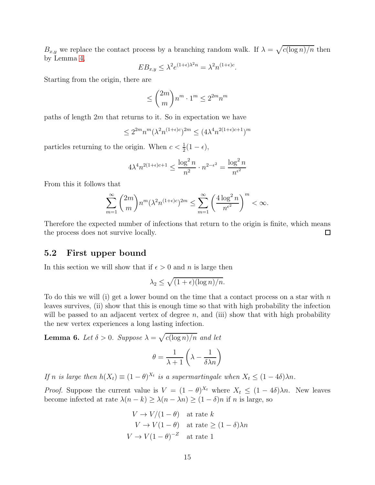$B_{x,y}$  we replace the contact process by a branching random walk. If  $\lambda = \sqrt{c(\log n)/n}$  then by Lemma [4,](#page-11-0)

$$
EB_{x,y} \leq \lambda^2 e^{(1+\epsilon)\lambda^2 n} = \lambda^2 n^{(1+\epsilon)c}.
$$

Starting from the origin, there are

$$
\leq \binom{2m}{m} n^m \cdot 1^m \leq 2^{2m} n^m
$$

paths of length  $2m$  that returns to it. So in expectation we have

$$
\leq 2^{2m}n^m(\lambda^2n^{(1+\epsilon)c})^{2m}\leq (4\lambda^4n^{2(1+\epsilon)c+1})^m
$$

particles returning to the origin. When  $c < \frac{1}{2}(1 - \epsilon)$ ,

$$
4\lambda^4 n^{2(1+\epsilon)c+1} \leq \frac{\log^2 n}{n^2} \cdot n^{2-\epsilon^2} = \frac{\log^2 n}{n^{\epsilon^2}}
$$

From this it follows that

$$
\sum_{m=1}^{\infty} {2m \choose m} n^m (\lambda^2 n^{(1+\epsilon)c})^{2m} \le \sum_{m=1}^{\infty} \left( \frac{4 \log^2 n}{n^{\epsilon^2}} \right)^m < \infty.
$$

Therefore the expected number of infections that return to the origin is finite, which means the process does not survive locally.  $\Box$ 

### 5.2 First upper bound

In this section we will show that if  $\epsilon > 0$  and n is large then

$$
\lambda_2 \le \sqrt{(1+\epsilon)(\log n)/n}.
$$

To do this we will (i) get a lower bound on the time that a contact process on a star with  $n$ leaves survives, (ii) show that this is enough time so that with high probability the infection will be passed to an adjacent vertex of degree  $n$ , and (iii) show that with high probability the new vertex experiences a long lasting infection.

<span id="page-14-0"></span>**Lemma 6.** Let  $\delta > 0$ . Suppose  $\lambda = \sqrt{c(\log n)/n}$  and let

$$
\theta = \frac{1}{\lambda + 1} \left( \lambda - \frac{1}{\delta \lambda n} \right)
$$

If n is large then  $h(X_t) \equiv (1 - \theta)^{X_t}$  is a supermartingale when  $X_t \leq (1 - 4\delta)\lambda n$ .

*Proof.* Suppose the current value is  $V = (1 - \theta)^{X_t}$  where  $X_t \leq (1 - 4\delta)\lambda n$ . New leaves become infected at rate  $\lambda(n-k) \geq \lambda(n-\lambda n) \geq (1-\delta)n$  if n is large, so

$$
V \to V/(1 - \theta) \quad \text{at rate } k
$$
  

$$
V \to V(1 - \theta) \quad \text{at rate } \ge (1 - \delta)\lambda n
$$
  

$$
V \to V(1 - \theta)^{-Z} \quad \text{at rate } 1
$$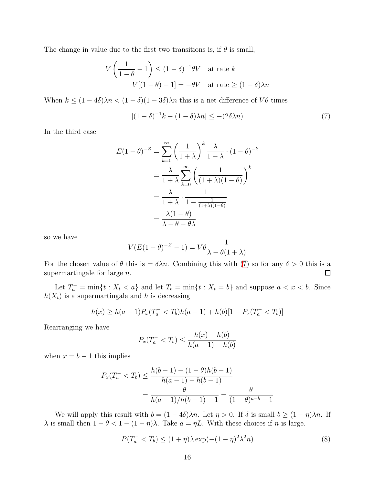The change in value due to the first two transitions is, if  $\theta$  is small,

$$
V\left(\frac{1}{1-\theta}-1\right) \le (1-\delta)^{-1}\theta V \text{ at rate } k
$$

$$
V[(1-\theta)-1] = -\theta V \text{ at rate } \ge (1-\delta)\lambda n
$$

When  $k \leq (1-4\delta)\lambda n < (1-\delta)(1-3\delta)\lambda n$  this is a net difference of  $V\theta$  times

<span id="page-15-0"></span>
$$
[(1 - \delta)^{-1}k - (1 - \delta)\lambda n] \leq -(2\delta\lambda n)
$$
\n(7)

In the third case

$$
E(1 - \theta)^{-Z} = \sum_{k=0}^{\infty} \left(\frac{1}{1 + \lambda}\right)^k \frac{\lambda}{1 + \lambda} \cdot (1 - \theta)^{-k}
$$

$$
= \frac{\lambda}{1 + \lambda} \sum_{k=0}^{\infty} \left(\frac{1}{(1 + \lambda)(1 - \theta)}\right)^k
$$

$$
= \frac{\lambda}{1 + \lambda} \cdot \frac{1}{1 - \frac{1}{(1 + \lambda)(1 - \theta)}}
$$

$$
= \frac{\lambda(1 - \theta)}{\lambda - \theta - \theta\lambda}
$$

so we have

$$
V(E(1 - \theta)^{-Z} - 1) = V\theta \frac{1}{\lambda - \theta(1 + \lambda)}
$$

For the chosen value of  $\theta$  this is  $=\delta \lambda n$ . Combining this with [\(7\)](#page-15-0) so for any  $\delta > 0$  this is a supermartingale for large  $n$ .  $\Box$ 

Let  $T_a^-$  = min{t :  $X_t < a$ } and let  $T_b$  = min{t :  $X_t = b$ } and suppose  $a < x < b$ . Since  $h(X_t)$  is a supermartingale and h is decreasing

$$
h(x) \ge h(a-1)P_x(T_a^- < T_b)h(a-1) + h(b)[1 - P_x(T_a^- < T_b)]
$$

Rearranging we have

$$
P_x(T_a^- < T_b) \le \frac{h(x) - h(b)}{h(a-1) - h(b)}
$$

when  $x = b - 1$  this implies

$$
P_x(T_a^- < T_b) \le \frac{h(b-1) - (1-\theta)h(b-1)}{h(a-1) - h(b-1)}
$$
\n
$$
= \frac{\theta}{h(a-1)/h(b-1) - 1} = \frac{\theta}{(1-\theta)^{a-b} - 1}
$$

We will apply this result with  $b = (1 - 4\delta)\lambda n$ . Let  $\eta > 0$ . If  $\delta$  is small  $b \ge (1 - \eta)\lambda n$ . If λ is small then  $1 - θ < 1 - (1 - η)λ$ . Take  $a = ηL$ . With these choices if *n* is large.

<span id="page-15-1"></span>
$$
P(T_a^- < T_b) \le (1 + \eta)\lambda \exp(-(1 - \eta)^2 \lambda^2 n) \tag{8}
$$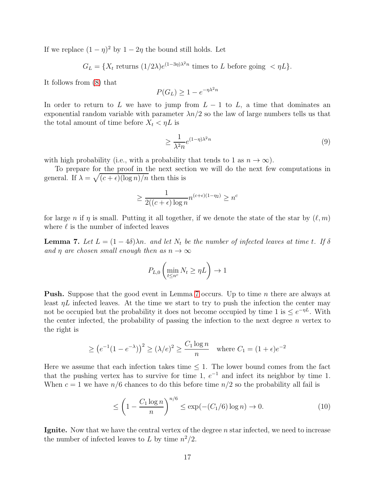If we replace  $(1 - \eta)^2$  by  $1 - 2\eta$  the bound still holds. Let

 $G_L = \{X_t \text{ returns } (1/2\lambda)e^{(1-3\eta)\lambda^2 n} \text{ times to } L \text{ before going } < \eta L\}.$ 

It follows from [\(8\)](#page-15-1) that

 $P(G_L) \geq 1 - e^{-\eta \lambda^2 n}$ 

In order to return to L we have to jump from  $L - 1$  to L, a time that dominates an exponential random variable with parameter  $\lambda n/2$  so the law of large numbers tells us that the total amount of time before  $X_t < \eta L$  is

$$
\geq \frac{1}{\lambda^2 n} e^{(1-\eta)\lambda^2 n} \tag{9}
$$

with high probability (i.e., with a probability that tends to 1 as  $n \to \infty$ ).

To prepare for the proof in the next section we will do the next few computations in general. If  $\lambda = \sqrt{(c + \epsilon)(\log n)/n}$  then this is

$$
\geq \frac{1}{2((c+\epsilon)\log n} n^{(c+\epsilon)(1-\eta_2)} \geq n^c
$$

for large n if  $\eta$  is small. Putting it all together, if we denote the state of the star by  $(\ell, m)$ where  $\ell$  is the number of infected leaves

<span id="page-16-0"></span>**Lemma 7.** Let  $L = (1 - 4\delta)\lambda n$ . and let  $N_t$  be the number of infected leaves at time t. If  $\delta$ and  $\eta$  are chosen small enough then as  $n \to \infty$ 

$$
P_{L,0}\left(\min_{t\leq n^{c}}N_{t}\geq \eta L\right)\to 1
$$

Push. Suppose that the good event in Lemma [7](#page-16-0) occurs. Up to time n there are always at least  $\eta L$  infected leaves. At the time we start to try to push the infection the center may not be occupied but the probability it does not become occupied by time 1 is  $\leq e^{-\eta L}$ . With the center infected, the probability of passing the infection to the next degree  $n$  vertex to the right is

$$
\ge (e^{-1}(1 - e^{-\lambda}))^{2} \ge (\lambda/e)^{2} \ge \frac{C_{1} \log n}{n} \text{ where } C_{1} = (1 + \epsilon)e^{-2}
$$

Here we assume that each infection takes time  $\leq 1$ . The lower bound comes from the fact that the pushing vertex has to survive for time 1,  $e^{-1}$  and infect its neighbor by time 1. When  $c = 1$  we have  $n/6$  chances to do this before time  $n/2$  so the probability all fail is

<span id="page-16-1"></span>
$$
\leq \left(1 - \frac{C_1 \log n}{n}\right)^{n/6} \leq \exp(-(C_1/6) \log n) \to 0. \tag{10}
$$

**Ignite.** Now that we have the central vertex of the degree  $n$  star infected, we need to increase the number of infected leaves to L by time  $n^2/2$ .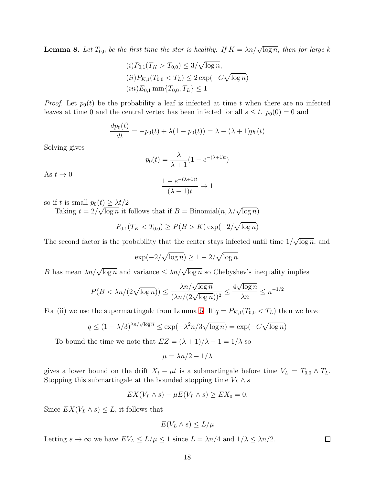<span id="page-17-0"></span>**Lemma 8.** Let  $T_{0,0}$  be the first time the star is healthy. If  $K = \lambda n / \sqrt{\log n}$ , then for large k

$$
(i) P_{0,1}(T_K > T_{0,0}) \le 3/\sqrt{\log n},
$$
  
\n
$$
(ii) P_{K,1}(T_{0,0} < T_L) \le 2 \exp(-C\sqrt{\log n})
$$
  
\n
$$
(iii) E_{0,1} \min\{T_{0,0}, T_L\} \le 1
$$

*Proof.* Let  $p_0(t)$  be the probability a leaf is infected at time t when there are no infected leaves at time 0 and the central vertex has been infected for all  $s \leq t$ .  $p_0(0) = 0$  and

$$
\frac{dp_0(t)}{dt} = -p_0(t) + \lambda(1 - p_0(t)) = \lambda - (\lambda + 1)p_0(t)
$$

Solving gives

$$
p_0(t) = \frac{\lambda}{\lambda + 1} (1 - e^{-(\lambda + 1)t})
$$

As  $t \to 0$ 

$$
\frac{1 - e^{-(\lambda + 1)t}}{(\lambda + 1)t} \to 1
$$

so if t is small  $p_0(t) \geq \lambda t/2$ 

Taking  $t = 2/\sqrt{\log n}$  it follows that if  $B = Binomial(n, \lambda/\sqrt{\log n})$ 

$$
P_{0,1}(T_K < T_{0,0}) \ge P(B > K) \exp(-2/\sqrt{\log n})
$$

The second factor is the probability that the center stays infected until time  $1/\sqrt{\log n}$ , and

$$
\exp(-2/\sqrt{\log n}) \ge 1 - 2/\sqrt{\log n}.
$$

B has mean  $\lambda n/\sqrt{\log n}$  and variance  $\leq \lambda n/\sqrt{\log n}$  so Chebyshev's inequality implies

$$
P(B < \lambda n/(2\sqrt{\log n})) \le \frac{\lambda n/\sqrt{\log n}}{(\lambda n/(2\sqrt{\log n}))^2} \le \frac{4\sqrt{\log n}}{\lambda n} \le n^{-1/2}
$$

For (ii) we use the supermartingale from Lemma [6.](#page-14-0) If  $q = P_{K,1}(T_{0,0} < T_L)$  then we have

$$
q \le (1 - \lambda/3)^{\lambda n/\sqrt{\log n}} \le \exp(-\lambda^2 n/3\sqrt{\log n}) = \exp(-C\sqrt{\log n})
$$

To bound the time we note that  $EZ = (\lambda + 1)/\lambda - 1 = 1/\lambda$  so

$$
\mu = \lambda n/2 - 1/\lambda
$$

gives a lower bound on the drift  $X_t - \mu t$  is a submartingale before time  $V_L = T_{0,0} \wedge T_L$ . Stopping this submartingale at the bounded stopping time  $V_L \wedge s$ 

$$
EX(V_L \wedge s) - \mu E(V_L \wedge s) \ge EX_0 = 0.
$$

Since  $EX(V_L \wedge s) \leq L$ , it follows that

$$
E(V_L \wedge s) \le L/\mu
$$

 $\Box$ 

Letting  $s \to \infty$  we have  $EV_L \le L/\mu \le 1$  since  $L = \lambda n/4$  and  $1/\lambda \le \lambda n/2$ .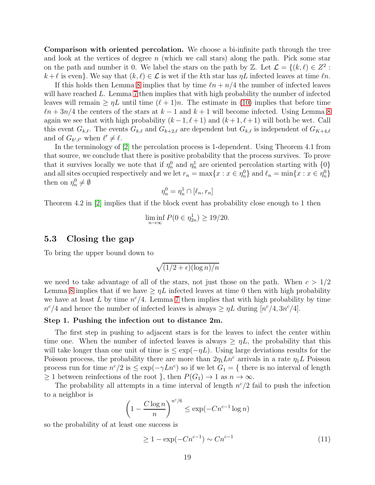Comparison with oriented percolation. We choose a bi-infinite path through the tree and look at the vertices of degree  $n$  (which we call stars) along the path. Pick some star on the path and number it 0. We label the stars on the path by Z. Let  $\mathcal{L} = \{(k, \ell) \in Z^2 : Z^2 \}$  $k+\ell$  is even}. We say that  $(k,\ell) \in \mathcal{L}$  is wet if the kth star has  $\eta L$  infected leaves at time  $\ell n$ .

If this holds then Lemma [8](#page-17-0) implies that by time  $ln + n/4$  the number of infected leaves will have reached L. Lemma [7](#page-16-0) then implies that with high probability the number of infected leaves will remain  $\geq \eta L$  until time  $(\ell + 1)n$ . The estimate in [\(10\)](#page-16-1) implies that before time  $ln + 3n/4$  the centers of the stars at  $k - 1$  and  $k + 1$  will become infected. Using Lemma [8](#page-17-0) again we see that with high probability  $(k-1, \ell+1)$  and  $(k+1, \ell+1)$  will both be wet. Call this event  $G_{k,\ell}$ . The events  $G_{k,\ell}$  and  $G_{k+2,\ell}$  are dependent but  $G_{k,\ell}$  is independent of  $G_{K+4,\ell}$ and of  $G_{k',\ell'}$  when  $\ell' \neq \ell$ .

In the terminology of [\[2\]](#page-25-0) the percolation process is 1-dependent. Using Theorem 4.1 from that source, we conclude that there is positive probability that the process survives. To prove that it survives locally we note that if  $\eta_n^0$  and  $\eta_n^1$  are oriented percolation starting with  $\{0\}$ and all sites occupied respectively and we let  $r_n = \max\{x : x \in \eta_n^0\}$  and  $\ell_n = \min\{x : x \in \eta_n^0\}$ then on  $\eta_n^0 \neq \emptyset$ 

$$
\eta_n^0 = \eta_n^1 \cap [\ell_n, r_n]
$$

Theorem 4.2 in [\[2\]](#page-25-0) implies that if the block event has probability close enough to 1 then

$$
\liminf_{n \to \infty} P(0 \in \eta_{2n}^1) \ge 19/20.
$$

### 5.3 Closing the gap

To bring the upper bound down to

$$
\sqrt{(1/2+\epsilon)(\log n)/n}
$$

we need to take advantage of all of the stars, not just those on the path. When  $c > 1/2$ Lemma [8](#page-17-0) implies that if we have  $\geq \eta L$  infected leaves at time 0 then with high probability we have at least L by time  $n^{c}/4$ . Lemma [7](#page-16-0) then implies that with high probability by time  $n^{c}/4$  and hence the number of infected leaves is always  $\geq \eta L$  during  $[n^{c}/4, 3n^{c}/4]$ .

#### Step 1. Pushing the infection out to distance 2m.

The first step in pushing to adjacent stars is for the leaves to infect the center within time one. When the number of infected leaves is always  $\geq \eta L$ , the probability that this will take longer than one unit of time is  $\leq \exp(-\eta L)$ . Using large deviations results for the Poisson process, the probability there are more than  $2\eta_1 Ln^c$  arrivals in a rate  $\eta_1 L$  Poisson process run for time  $n^c/2$  is  $\leq \exp(-\gamma Ln^c)$  so if we let  $G_1 = \{$  there is no interval of length  $\geq 1$  between reinfections of the root }, then  $P(G_1) \to 1$  as  $n \to \infty$ .

The probability all attempts in a time interval of length  $n^c/2$  fail to push the infection to a neighbor is

$$
\left(1 - \frac{C \log n}{n}\right)^{n^c/6} \le \exp(-Cn^{c-1} \log n)
$$

so the probability of at least one success is

<span id="page-18-0"></span>
$$
\geq 1 - \exp(-Cn^{c-1}) \sim Cn^{c-1}
$$
\n(11)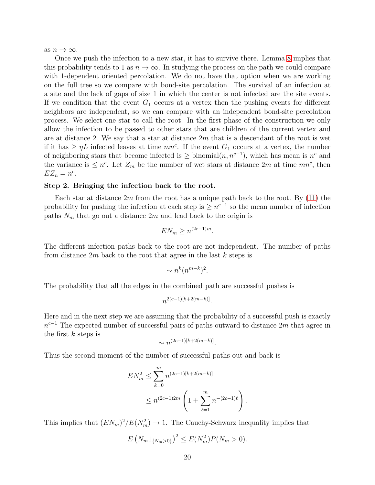as  $n \to \infty$ .

Once we push the infection to a new star, it has to survive there. Lemma [8](#page-17-0) implies that this probability tends to 1 as  $n \to \infty$ . In studying the process on the path we could compare with 1-dependent oriented percolation. We do not have that option when we are working on the full tree so we compare with bond-site percolation. The survival of an infection at a site and the lack of gaps of size 1 in which the center is not infected are the site events. If we condition that the event  $G_1$  occurs at a vertex then the pushing events for different neighbors are independent, so we can compare with an independent bond-site percolation process. We select one star to call the root. In the first phase of the construction we only allow the infection to be passed to other stars that are children of the current vertex and are at distance 2. We say that a star at distance  $2m$  that is a descendant of the root is wet if it has  $\geq \eta L$  infected leaves at time  $mn^c$ . If the event  $G_1$  occurs at a vertex, the number of neighboring stars that become infected is  $\geq$  binomial $(n, n^{c-1})$ , which has mean is  $n^c$  and the variance is  $\leq n^c$ . Let  $Z_m$  be the number of wet stars at distance  $2m$  at time  $mn^c$ , then  $EZ_n = n^c$ .

#### Step 2. Bringing the infection back to the root.

Each star at distance 2m from the root has a unique path back to the root. By  $(11)$  the probability for pushing the infection at each step is  $\geq n^{c-1}$  so the mean number of infection paths  $N_m$  that go out a distance  $2m$  and lead back to the origin is

$$
EN_m \ge n^{(2c-1)m}.
$$

The different infection paths back to the root are not independent. The number of paths from distance  $2m$  back to the root that agree in the last k steps is

$$
\sim n^k (n^{m-k})^2.
$$

The probability that all the edges in the combined path are successful pushes is

$$
n^{2(c-1)[k+2(m-k)]}.
$$

Here and in the next step we are assuming that the probability of a successful push is exactly  $n^{c-1}$  The expected number of successful pairs of paths outward to distance 2m that agree in the first  $k$  steps is

$$
\sim n^{(2c-1)[k+2(m-k)]}.
$$

Thus the second moment of the number of successful paths out and back is

$$
EN_m^2 \le \sum_{k=0}^m n^{(2c-1)[k+2(m-k)]}
$$
  
 
$$
\le n^{(2c-1)2m} \left(1 + \sum_{\ell=1}^m n^{-(2c-1)\ell}\right).
$$

This implies that  $(EN_m)^2/E(N_m^2) \to 1$ . The Cauchy-Schwarz inequality implies that

$$
E\left(N_m 1_{\{N_m > 0\}}\right)^2 \le E(N_m^2) P(N_m > 0).
$$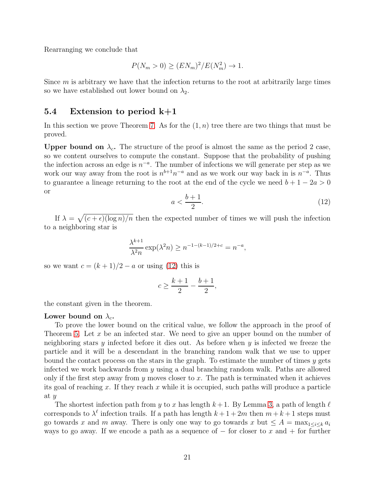Rearranging we conclude that

$$
P(N_m > 0) \ge (EN_m)^2 / E(N_m^2) \to 1.
$$

Since  $m$  is arbitrary we have that the infection returns to the root at arbitrarily large times so we have established out lower bound on  $\lambda_2$ .

### 5.4 Extension to period k+1

In this section we prove Theorem [7.](#page-4-0) As for the  $(1, n)$  tree there are two things that must be proved.

Upper bound on  $\lambda_c$ . The structure of the proof is almost the same as the period 2 case, so we content ourselves to compute the constant. Suppose that the probability of pushing the infection across an edge is  $n^{-a}$ . The number of infections we will generate per step as we work our way away from the root is  $n^{b+1}n^{-a}$  and as we work our way back in is  $n^{-a}$ . Thus to guarantee a lineage returning to the root at the end of the cycle we need  $b + 1 - 2a > 0$ or

<span id="page-20-0"></span>
$$
a < \frac{b+1}{2}.\tag{12}
$$

If  $\lambda = \sqrt{(c + \epsilon)(\log n)/n}$  then the expected number of times we will push the infection to a neighboring star is

$$
\frac{\lambda^{k+1}}{\lambda^2 n} \exp(\lambda^2 n) \ge n^{-1 - (k-1)/2 + c} = n^{-a},
$$

so we want  $c = (k+1)/2 - a$  or using [\(12\)](#page-20-0) this is

$$
c \ge \frac{k+1}{2} - \frac{b+1}{2},
$$

the constant given in the theorem.

#### Lower bound on  $\lambda_c$ .

To prove the lower bound on the critical value, we follow the approach in the proof of Theorem [5.](#page-13-0) Let x be an infected star. We need to give an upper bound on the number of neighboring stars  $y$  infected before it dies out. As before when  $y$  is infected we freeze the particle and it will be a descendant in the branching random walk that we use to upper bound the contact process on the stars in the graph. To estimate the number of times  $y$  gets infected we work backwards from  $y$  using a dual branching random walk. Paths are allowed only if the first step away from y moves closer to x. The path is terminated when it achieves its goal of reaching x. If they reach x while it is occupied, such paths will produce a particle at y

The shortest infection path from y to x has length  $k+1$ . By Lemma [3,](#page-6-1) a path of length  $\ell$ corresponds to  $\lambda^{\ell}$  infection trails. If a path has length  $k + 1 + 2m$  then  $m + k + 1$  steps must go towards x and m away. There is only one way to go towards x but  $\leq A = \max_{1 \leq i \leq k} a_i$ ways to go away. If we encode a path as a sequence of  $-$  for closer to x and  $+$  for further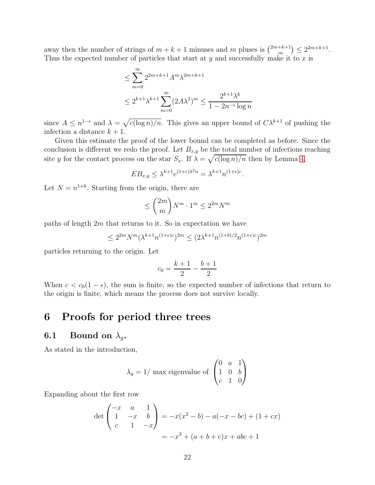away then the number of strings of  $m + k + 1$  minuses and m pluses is  $\binom{2m+k+1}{m}$  $\binom{+k+1}{m} \leq 2^{2m+k+1}.$ Thus the expected number of particles that start at  $y$  and successfully make it to  $x$  is

$$
\leq \sum_{m=0}^{\infty} 2^{2m+k+1} A^m \lambda^{2m+k+1}
$$
  

$$
\leq 2^{k+1} \lambda^{k+1} \sum_{m=0}^{\infty} (2A\lambda^2)^m \leq \frac{2^{k+1} \lambda^k}{1 - 2n^{-\epsilon} \log n}
$$

since  $A \leq n^{1-\epsilon}$  and  $\lambda = \sqrt{c(\log n)/n}$ . This gives an upper bound of  $C\lambda^{k+1}$  of pushing the infection a distance  $k + 1$ .

Given this estimate the proof of the lower bound can be completed as before. Since the conclusion is different we redo the proof. Let  $B_{x,y}$  be the total number of infections reaching site y for the contact process on the star  $S_x$ . If  $\lambda = \sqrt{c(\log n)/n}$  then by Lemma [4,](#page-11-0)

$$
EB_{x,y} \leq \lambda^{k+1} e^{(1+\epsilon)\lambda^2 n} = \lambda^{k+1} n^{(1+\epsilon)c}.
$$

Let  $N = n^{1+b}$ . Starting from the origin, there are

$$
\leq \binom{2m}{m} N^m \cdot 1^m \leq 2^{2m} N^m
$$

paths of length  $2m$  that returns to it. So in expectation we have

$$
\leq 2^{2m} N^m (\lambda^{k+1} n^{(1+\epsilon)c})^{2m} \leq (2\lambda^{k+1} n^{(1+b)/2} n^{(1+\epsilon)c})^{2m}
$$

particles returning to the origin. Let

$$
c_0 = \frac{k+1}{2} - \frac{b+1}{2}
$$

When  $c < c_0(1 - \epsilon)$ , the sum is finite, so the expected number of infections that return to the origin is finite, which means the process does not survive locally.

## <span id="page-21-0"></span>6 Proofs for period three trees

### **6.1** Bound on  $\lambda_q$ .

As stated in the introduction,

$$
\lambda_g = 1/\text{ max eigenvalue of } \begin{pmatrix} 0 & a & 1 \\ 1 & 0 & b \\ c & 1 & 0 \end{pmatrix}
$$

Expanding about the first row

$$
\det \begin{pmatrix} -x & a & 1 \\ 1 & -x & b \\ c & 1 & -x \end{pmatrix} = -x(x^2 - b) - a(-x - bc) + (1 + cx)
$$

$$
= -x^3 + (a + b + c)x + abc + 1
$$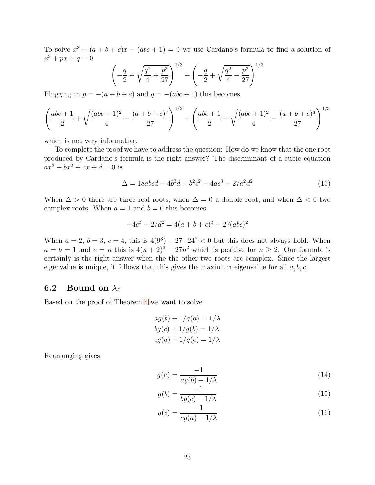To solve  $x^3 - (a + b + c)x - (abc + 1) = 0$  we use Cardano's formula to find a solution of  $x^3 + px + q = 0$ 

$$
\left(-\frac{q}{2} + \sqrt{\frac{q^2}{4} + \frac{p^3}{27}}\right)^{1/3} + \left(-\frac{q}{2} + \sqrt{\frac{q^2}{4} - \frac{p^3}{27}}\right)^{1/3}
$$

Plugging in  $p = -(a + b + c)$  and  $q = -(abc + 1)$  this becomes

$$
\left(\frac{abc+1}{2} + \sqrt{\frac{(abc+1)^2}{4} - \frac{(a+b+c)^3}{27}}\right)^{1/3} + \left(\frac{abc+1}{2} - \sqrt{\frac{(abc+1)^2}{4} - \frac{(a+b+c)^3}{27}}\right)^{1/3}
$$

which is not very informative.

To complete the proof we have to address the question: How do we know that the one root produced by Cardano's formula is the right answer? The discriminant of a cubic equation  $ax^{3} + bx^{2} + cx + d = 0$  is

<span id="page-22-2"></span>
$$
\Delta = 18abcd - 4b^3d + b^2c^2 - 4ac^3 - 27a^2d^2 \tag{13}
$$

When  $\Delta > 0$  there are three real roots, when  $\Delta = 0$  a double root, and when  $\Delta < 0$  two complex roots. When  $a = 1$  and  $b = 0$  this becomes

$$
-4c^3 - 27d^2 = 4(a+b+c)^3 - 27(abc)^2
$$

When  $a = 2$ ,  $b = 3$ ,  $c = 4$ , this is  $4(9^3) - 27 \cdot 24^2 < 0$  but this does not always hold. When  $a = b = 1$  and  $c = n$  this is  $4(n+2)^3 - 27n^2$  which is positive for  $n \ge 2$ . Our formula is certainly is the right answer when the the other two roots are complex. Since the largest eigenvalue is unique, it follows that this gives the maximum eigenvalue for all  $a, b, c$ .

### 6.2 Bound on  $\lambda_{\ell}$

Based on the proof of Theorem [4](#page-2-1) we want to solve

$$
ag(b) + 1/g(a) = 1/\lambda
$$
  
\n
$$
bg(c) + 1/g(b) = 1/\lambda
$$
  
\n
$$
cg(a) + 1/g(c) = 1/\lambda
$$

Rearranging gives

$$
g(a) = \frac{-1}{ag(b) - 1/\lambda} \tag{14}
$$

<span id="page-22-0"></span>
$$
g(b) = \frac{-1}{bg(c) - 1/\lambda} \tag{15}
$$

<span id="page-22-1"></span>
$$
g(c) = \frac{-1}{cg(a) - 1/\lambda} \tag{16}
$$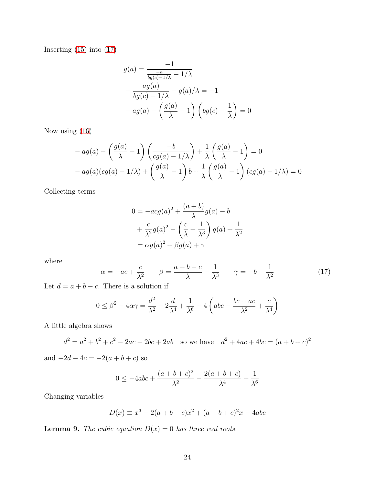Inserting [\(15\)](#page-22-0) into [\(17\)](#page-23-0)

$$
g(a) = \frac{-1}{\frac{-a}{bg(c)-1/\lambda} - 1/\lambda}
$$

$$
-\frac{ag(a)}{bg(c)-1/\lambda} - g(a)/\lambda = -1
$$

$$
-ag(a) - \left(\frac{g(a)}{\lambda} - 1\right) \left(bg(c) - \frac{1}{\lambda}\right) = 0
$$

Now using [\(16\)](#page-22-1)

$$
- ag(a) - \left(\frac{g(a)}{\lambda} - 1\right) \left(\frac{-b}{cg(a) - 1/\lambda}\right) + \frac{1}{\lambda} \left(\frac{g(a)}{\lambda} - 1\right) = 0
$$
  
- ag(a)(cg(a) - 1/\lambda) + \left(\frac{g(a)}{\lambda} - 1\right)b + \frac{1}{\lambda} \left(\frac{g(a)}{\lambda} - 1\right)(cg(a) - 1/\lambda) = 0

Collecting terms

$$
0 = -acg(a)^2 + \frac{(a+b)}{\lambda}g(a) - b
$$
  
+ 
$$
\frac{c}{\lambda^2}g(a)^2 - \left(\frac{c}{\lambda} + \frac{1}{\lambda^3}\right)g(a) + \frac{1}{\lambda^2}
$$
  
= 
$$
\alpha g(a)^2 + \beta g(a) + \gamma
$$

where

<span id="page-23-0"></span>
$$
\alpha = -ac + \frac{c}{\lambda^2} \qquad \beta = \frac{a+b-c}{\lambda} - \frac{1}{\lambda^3} \qquad \gamma = -b + \frac{1}{\lambda^2} \tag{17}
$$

Let  $d = a + b - c$ . There is a solution if

$$
0 \le \beta^2 - 4\alpha\gamma = \frac{d^2}{\lambda^2} - 2\frac{d}{\lambda^4} + \frac{1}{\lambda^6} - 4\left(abc - \frac{bc + ac}{\lambda^2} + \frac{c}{\lambda^4}\right)
$$

A little algebra shows

$$
d^2 = a^2 + b^2 + c^2 - 2ac - 2bc + 2ab
$$
 so we have 
$$
d^2 + 4ac + 4bc = (a + b + c)^2
$$

and  $-2d - 4c = -2(a + b + c)$  so

$$
0 \le -4abc + \frac{(a+b+c)^2}{\lambda^2} - \frac{2(a+b+c)}{\lambda^4} + \frac{1}{\lambda^6}
$$

Changing variables

$$
D(x) \equiv x^3 - 2(a+b+c)x^2 + (a+b+c)^2x - 4abc
$$

**Lemma 9.** The cubic equation  $D(x) = 0$  has three real roots.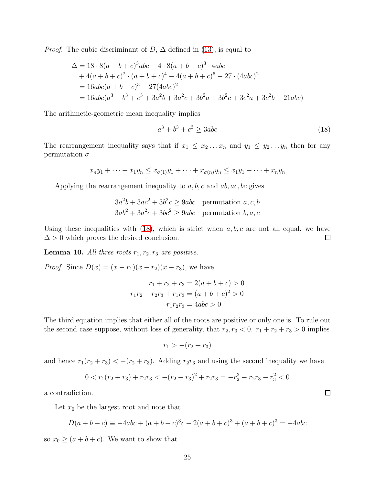*Proof.* The cubic discriminant of  $D$ ,  $\Delta$  defined in [\(13\)](#page-22-2), is equal to

$$
\Delta = 18 \cdot 8(a+b+c)^3abc - 4 \cdot 8(a+b+c)^3 \cdot 4abc \n+ 4(a+b+c)^2 \cdot (a+b+c)^4 - 4(a+b+c)^6 - 27 \cdot (4abc)^2 \n= 16abc(a+b+c)^3 - 27(4abc)^2 \n= 16abc(a^3+b^3+c^3+3a^2b+3a^2c+3b^2a+3b^2c+3c^2a+3c^2b-21abc)
$$

The arithmetic-geometric mean inequality implies

<span id="page-24-0"></span>
$$
a^3 + b^3 + c^3 \ge 3abc \tag{18}
$$

The rearrangement inequality says that if  $x_1 \leq x_2 \ldots x_n$  and  $y_1 \leq y_2 \ldots y_n$  then for any permutation  $\sigma$ 

$$
x_ny_1 + \cdots + x_1y_n \le x_{\sigma(1)}y_1 + \cdots + x_{\sigma(n)}y_n \le x_1y_1 + \cdots + x_ny_n
$$

Applying the rearrangement inequality to  $a, b, c$  and  $ab, ac, bc$  gives

$$
3a2b + 3ac2 + 3b2c \ge 9abc
$$
 permutation  $a, c, b$   

$$
3ab2 + 3a2c + 3bc2 \ge 9abc
$$
 permutation  $b, a, c$ 

Using these inequalities with  $(18)$ , which is strict when  $a, b, c$  are not all equal, we have  $\Delta > 0$  which proves the desired conclusion.  $\Box$ 

**Lemma 10.** All three roots  $r_1, r_2, r_3$  are positive.

*Proof.* Since  $D(x) = (x - r_1)(x - r_2)(x - r_3)$ , we have

$$
r_1 + r_2 + r_3 = 2(a + b + c) > 0
$$

$$
r_1r_2 + r_2r_3 + r_1r_3 = (a + b + c)^2 > 0
$$

$$
r_1r_2r_3 = 4abc > 0
$$

The third equation implies that either all of the roots are positive or only one is. To rule out the second case suppose, without loss of generality, that  $r_2, r_3 < 0$ .  $r_1 + r_2 + r_3 > 0$  implies

$$
r_1 > -(r_2 + r_3)
$$

and hence  $r_1(r_2 + r_3) < -(r_2 + r_3)$ . Adding  $r_2r_3$  and using the second inequality we have

$$
0 < r1(r2 + r3) + r2r3 < -(r2 + r3)2 + r2r3 = -r22 - r2r3 - r32 < 0
$$

a contradiction.

Let  $x_0$  be the largest root and note that

$$
D(a+b+c) \equiv -4abc + (a+b+c)^3c - 2(a+b+c)^3 + (a+b+c)^3 = -4abc
$$

so  $x_0 \geq (a + b + c)$ . We want to show that

 $\Box$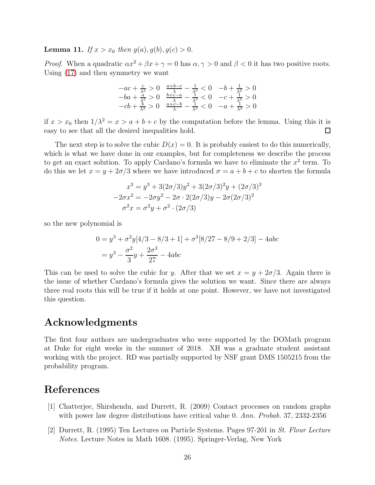**Lemma 11.** If  $x > x_0$  then  $g(a), g(b), g(c) > 0$ .

*Proof.* When a quadratic  $\alpha x^2 + \beta x + \gamma = 0$  has  $\alpha, \gamma > 0$  and  $\beta < 0$  it has two positive roots. Using [\(17\)](#page-23-0) and then symmetry we want

$$
-ac + \frac{c}{\lambda^2} > 0 \quad \frac{a+b-c}{\lambda} - \frac{1}{\lambda^3} < 0 \quad -b + \frac{1}{\lambda^2} > 0
$$
  

$$
-ba + \frac{a}{\lambda^2} > 0 \quad \frac{b+c-a}{\lambda} - \frac{1}{\lambda^3} < 0 \quad -c + \frac{1}{\lambda^2} > 0
$$
  

$$
-cb + \frac{b}{\lambda^2} > 0 \quad \frac{a+c-b}{\lambda} - \frac{1}{\lambda^3} < 0 \quad -a + \frac{1}{\lambda^2} > 0
$$

if  $x > x_0$  then  $1/\lambda^2 = x > a + b + c$  by the computation before the lemma. Using this it is easy to see that all the desired inequalities hold.  $\Box$ 

The next step is to solve the cubic  $D(x) = 0$ . It is probably easiest to do this numerically, which is what we have done in our examples, but for completeness we describe the process to get an exact solution. To apply Cardano's formula we have to eliminate the  $x^2$  term. To do this we let  $x = y + 2\sigma/3$  where we have introduced  $\sigma = a + b + c$  to shorten the formula

$$
x^{3} = y^{3} + 3(2\sigma/3)y^{2} + 3(2\sigma/3)^{2}y + (2\sigma/3)^{3}
$$

$$
-2\sigma x^{2} = -2\sigma y^{2} - 2\sigma \cdot 2(2\sigma/3)y - 2\sigma(2\sigma/3)^{2}
$$

$$
\sigma^{2} x = \sigma^{2} y + \sigma^{2} \cdot (2\sigma/3)
$$

so the new polynomial is

$$
0 = y3 + \sigma2y[4/3 - 8/3 + 1] + \sigma3[8/27 - 8/9 + 2/3] - 4abc
$$
  
=  $y3 - \frac{\sigma2}{3}y + \frac{2\sigma3}{27} - 4abc$ 

This can be used to solve the cubic for y. After that we set  $x = y + 2\sigma/3$ . Again there is the issue of whether Cardano's formula gives the solution we want. Since there are always three real roots this will be true if it holds at one point. However, we have not investigated this question.

## Acknowledgments

The first four authors are undergraduates who were supported by the DOMath program at Duke for eight weeks in the summer of 2018. XH was a graduate student assistant working with the project. RD was partially supported by NSF grant DMS 1505215 from the probability program.

# References

- <span id="page-25-0"></span>[1] Chatterjee, Shirshendu, and Durrett, R. (2009) Contact processes on random graphs with power law degree distributions have critical value 0. Ann. Probab. 37, 2332-2356
- [2] Durrett, R. (1995) Ten Lectures on Particle Systems. Pages 97-201 in St. Flour Lecture Notes. Lecture Notes in Math 1608. (1995). Springer-Verlag, New York